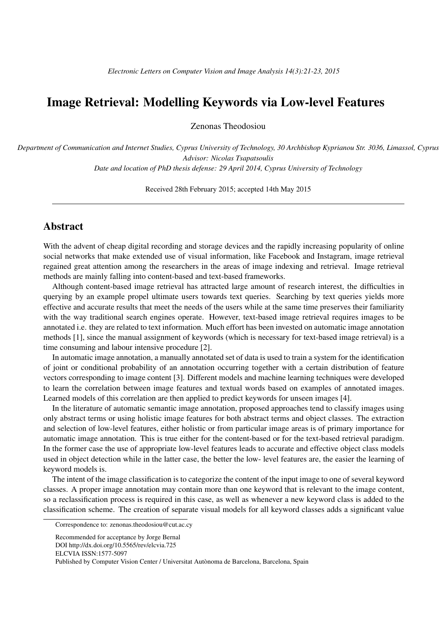## Image Retrieval: Modelling Keywords via Low-level Features

Zenonas Theodosiou

*Department of Communication and Internet Studies, Cyprus University of Technology, 30 Archbishop Kyprianou Str. 3036, Limassol, Cyprus Advisor: Nicolas Tsapatsoulis Date and location of PhD thesis defense: 29 April 2014, Cyprus University of Technology*

Received 28th February 2015; accepted 14th May 2015

## **Abstract**

With the advent of cheap digital recording and storage devices and the rapidly increasing popularity of online social networks that make extended use of visual information, like Facebook and Instagram, image retrieval regained great attention among the researchers in the areas of image indexing and retrieval. Image retrieval methods are mainly falling into content-based and text-based frameworks.

Although content-based image retrieval has attracted large amount of research interest, the difficulties in querying by an example propel ultimate users towards text queries. Searching by text queries yields more effective and accurate results that meet the needs of the users while at the same time preserves their familiarity with the way traditional search engines operate. However, text-based image retrieval requires images to be annotated i.e. they are related to text information. Much effort has been invested on automatic image annotation methods [1], since the manual assignment of keywords (which is necessary for text-based image retrieval) is a time consuming and labour intensive procedure [2].

In automatic image annotation, a manually annotated set of data is used to train a system for the identification of joint or conditional probability of an annotation occurring together with a certain distribution of feature vectors corresponding to image content [3]. Different models and machine learning techniques were developed to learn the correlation between image features and textual words based on examples of annotated images. Learned models of this correlation are then applied to predict keywords for unseen images [4].

In the literature of automatic semantic image annotation, proposed approaches tend to classify images using only abstract terms or using holistic image features for both abstract terms and object classes. The extraction and selection of low-level features, either holistic or from particular image areas is of primary importance for automatic image annotation. This is true either for the content-based or for the text-based retrieval paradigm. In the former case the use of appropriate low-level features leads to accurate and effective object class models used in object detection while in the latter case, the better the low- level features are, the easier the learning of keyword models is.

The intent of the image classification is to categorize the content of the input image to one of several keyword classes. A proper image annotation may contain more than one keyword that is relevant to the image content, so a reclassification process is required in this case, as well as whenever a new keyword class is added to the classification scheme. The creation of separate visual models for all keyword classes adds a significant value

Correspondence to: zenonas.theodosiou@cut.ac.cy

Recommended for acceptance by Jorge Bernal DOI http://dx.doi.org/10.5565/rev/elcvia.725

ELCVIA ISSN:1577-5097

Published by Computer Vision Center / Universitat Autonoma de Barcelona, Barcelona, Spain `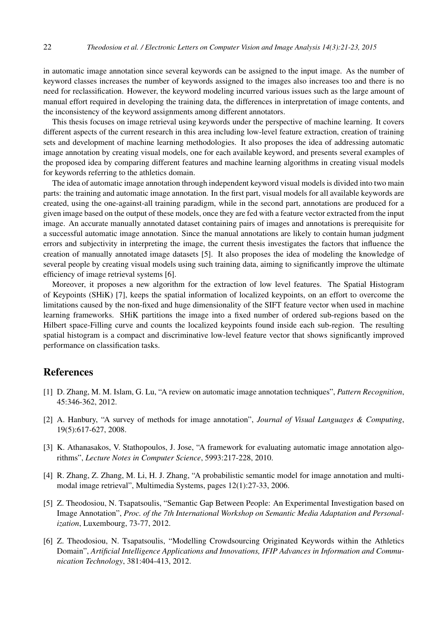in automatic image annotation since several keywords can be assigned to the input image. As the number of keyword classes increases the number of keywords assigned to the images also increases too and there is no need for reclassification. However, the keyword modeling incurred various issues such as the large amount of manual effort required in developing the training data, the differences in interpretation of image contents, and the inconsistency of the keyword assignments among different annotators.

This thesis focuses on image retrieval using keywords under the perspective of machine learning. It covers different aspects of the current research in this area including low-level feature extraction, creation of training sets and development of machine learning methodologies. It also proposes the idea of addressing automatic image annotation by creating visual models, one for each available keyword, and presents several examples of the proposed idea by comparing different features and machine learning algorithms in creating visual models for keywords referring to the athletics domain.

The idea of automatic image annotation through independent keyword visual models is divided into two main parts: the training and automatic image annotation. In the first part, visual models for all available keywords are created, using the one-against-all training paradigm, while in the second part, annotations are produced for a given image based on the output of these models, once they are fed with a feature vector extracted from the input image. An accurate manually annotated dataset containing pairs of images and annotations is prerequisite for a successful automatic image annotation. Since the manual annotations are likely to contain human judgment errors and subjectivity in interpreting the image, the current thesis investigates the factors that influence the creation of manually annotated image datasets [5]. It also proposes the idea of modeling the knowledge of several people by creating visual models using such training data, aiming to significantly improve the ultimate efficiency of image retrieval systems [6].

Moreover, it proposes a new algorithm for the extraction of low level features. The Spatial Histogram of Keypoints (SHiK) [7], keeps the spatial information of localized keypoints, on an effort to overcome the limitations caused by the non-fixed and huge dimensionality of the SIFT feature vector when used in machine learning frameworks. SHiK partitions the image into a fixed number of ordered sub-regions based on the Hilbert space-Filling curve and counts the localized keypoints found inside each sub-region. The resulting spatial histogram is a compact and discriminative low-level feature vector that shows significantly improved performance on classification tasks.

## References

- [1] D. Zhang, M. M. Islam, G. Lu, "A review on automatic image annotation techniques", *Pattern Recognition*, 45:346-362, 2012.
- [2] A. Hanbury, "A survey of methods for image annotation", *Journal of Visual Languages & Computing*, 19(5):617-627, 2008.
- [3] K. Athanasakos, V. Stathopoulos, J. Jose, "A framework for evaluating automatic image annotation algorithms", *Lecture Notes in Computer Science*, 5993:217-228, 2010.
- [4] R. Zhang, Z. Zhang, M. Li, H. J. Zhang, "A probabilistic semantic model for image annotation and multimodal image retrieval", Multimedia Systems, pages 12(1):27-33, 2006.
- [5] Z. Theodosiou, N. Tsapatsoulis, "Semantic Gap Between People: An Experimental Investigation based on Image Annotation", *Proc. of the 7th International Workshop on Semantic Media Adaptation and Personalization*, Luxembourg, 73-77, 2012.
- [6] Z. Theodosiou, N. Tsapatsoulis, "Modelling Crowdsourcing Originated Keywords within the Athletics Domain", *Artificial Intelligence Applications and Innovations, IFIP Advances in Information and Communication Technology*, 381:404-413, 2012.